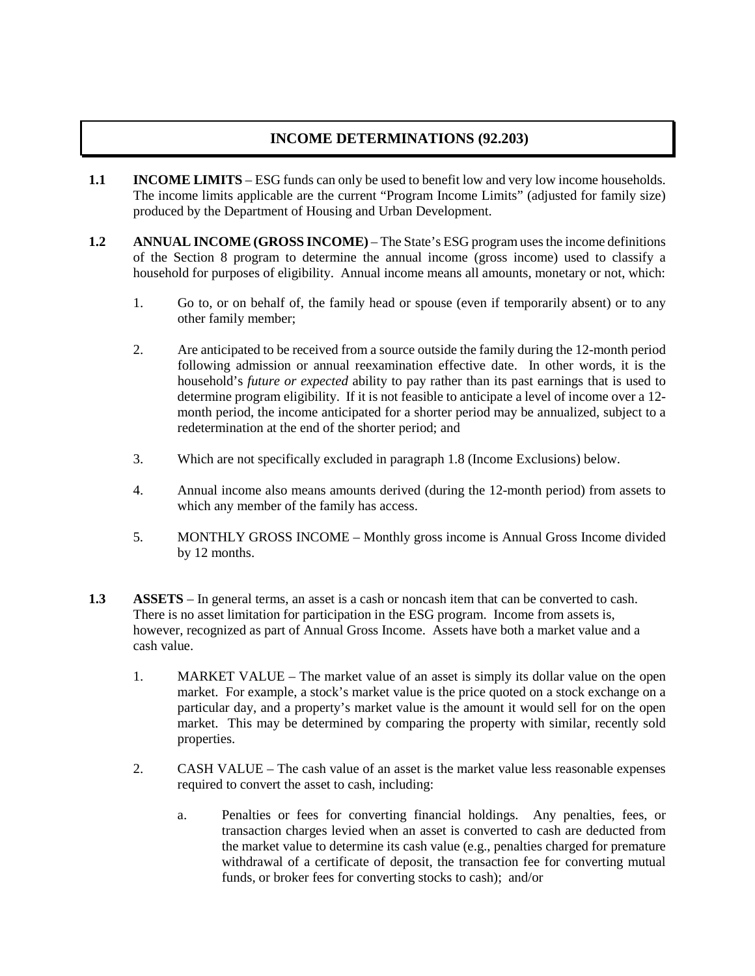## **INCOME DETERMINATIONS (92.203)**

- **1.1 INCOME LIMITS** ESG funds can only be used to benefit low and very low income households. The income limits applicable are the current "Program Income Limits" (adjusted for family size) produced by the Department of Housing and Urban Development.
- **1.2 ANNUAL INCOME (GROSS INCOME)** The State's ESG program uses the income definitions of the Section 8 program to determine the annual income (gross income) used to classify a household for purposes of eligibility. Annual income means all amounts, monetary or not, which:
	- 1. Go to, or on behalf of, the family head or spouse (even if temporarily absent) or to any other family member;
	- 2. Are anticipated to be received from a source outside the family during the 12-month period following admission or annual reexamination effective date. In other words, it is the household's *future or expected* ability to pay rather than its past earnings that is used to determine program eligibility. If it is not feasible to anticipate a level of income over a 12 month period, the income anticipated for a shorter period may be annualized, subject to a redetermination at the end of the shorter period; and
	- 3. Which are not specifically excluded in paragraph 1.8 (Income Exclusions) below.
	- 4. Annual income also means amounts derived (during the 12-month period) from assets to which any member of the family has access.
	- 5. MONTHLY GROSS INCOME Monthly gross income is Annual Gross Income divided by 12 months.
- **1.3 ASSETS** In general terms, an asset is a cash or noncash item that can be converted to cash. There is no asset limitation for participation in the ESG program. Income from assets is, however, recognized as part of Annual Gross Income. Assets have both a market value and a cash value.
	- 1. MARKET VALUE The market value of an asset is simply its dollar value on the open market. For example, a stock's market value is the price quoted on a stock exchange on a particular day, and a property's market value is the amount it would sell for on the open market. This may be determined by comparing the property with similar, recently sold properties.
	- 2. CASH VALUE The cash value of an asset is the market value less reasonable expenses required to convert the asset to cash, including:
		- a. Penalties or fees for converting financial holdings. Any penalties, fees, or transaction charges levied when an asset is converted to cash are deducted from the market value to determine its cash value (e.g., penalties charged for premature withdrawal of a certificate of deposit, the transaction fee for converting mutual funds, or broker fees for converting stocks to cash); and/or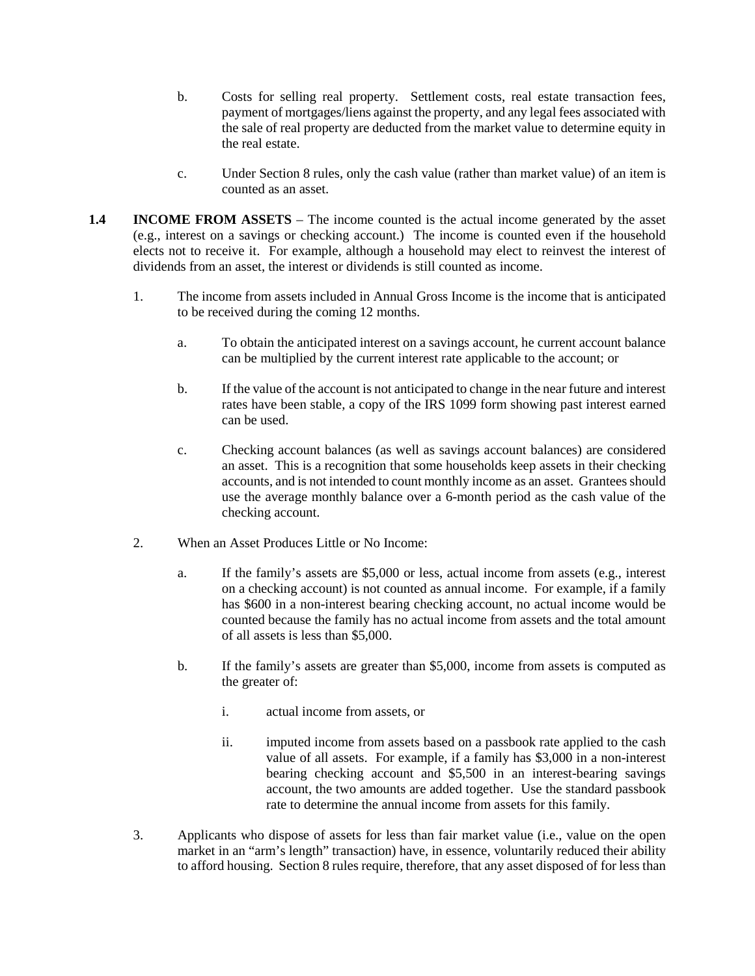- b. Costs for selling real property. Settlement costs, real estate transaction fees, payment of mortgages/liens against the property, and any legal fees associated with the sale of real property are deducted from the market value to determine equity in the real estate.
- c. Under Section 8 rules, only the cash value (rather than market value) of an item is counted as an asset.
- **1.4 INCOME FROM ASSETS** The income counted is the actual income generated by the asset (e.g., interest on a savings or checking account.) The income is counted even if the household elects not to receive it. For example, although a household may elect to reinvest the interest of dividends from an asset, the interest or dividends is still counted as income.
	- 1. The income from assets included in Annual Gross Income is the income that is anticipated to be received during the coming 12 months.
		- a. To obtain the anticipated interest on a savings account, he current account balance can be multiplied by the current interest rate applicable to the account; or
		- b. If the value of the account is not anticipated to change in the near future and interest rates have been stable, a copy of the IRS 1099 form showing past interest earned can be used.
		- c. Checking account balances (as well as savings account balances) are considered an asset. This is a recognition that some households keep assets in their checking accounts, and is not intended to count monthly income as an asset. Grantees should use the average monthly balance over a 6-month period as the cash value of the checking account.
	- 2. When an Asset Produces Little or No Income:
		- a. If the family's assets are \$5,000 or less, actual income from assets (e.g., interest on a checking account) is not counted as annual income. For example, if a family has \$600 in a non-interest bearing checking account, no actual income would be counted because the family has no actual income from assets and the total amount of all assets is less than \$5,000.
		- b. If the family's assets are greater than \$5,000, income from assets is computed as the greater of:
			- i. actual income from assets, or
			- ii. imputed income from assets based on a passbook rate applied to the cash value of all assets. For example, if a family has \$3,000 in a non-interest bearing checking account and \$5,500 in an interest-bearing savings account, the two amounts are added together. Use the standard passbook rate to determine the annual income from assets for this family.
	- 3. Applicants who dispose of assets for less than fair market value (i.e., value on the open market in an "arm's length" transaction) have, in essence, voluntarily reduced their ability to afford housing. Section 8 rules require, therefore, that any asset disposed of for less than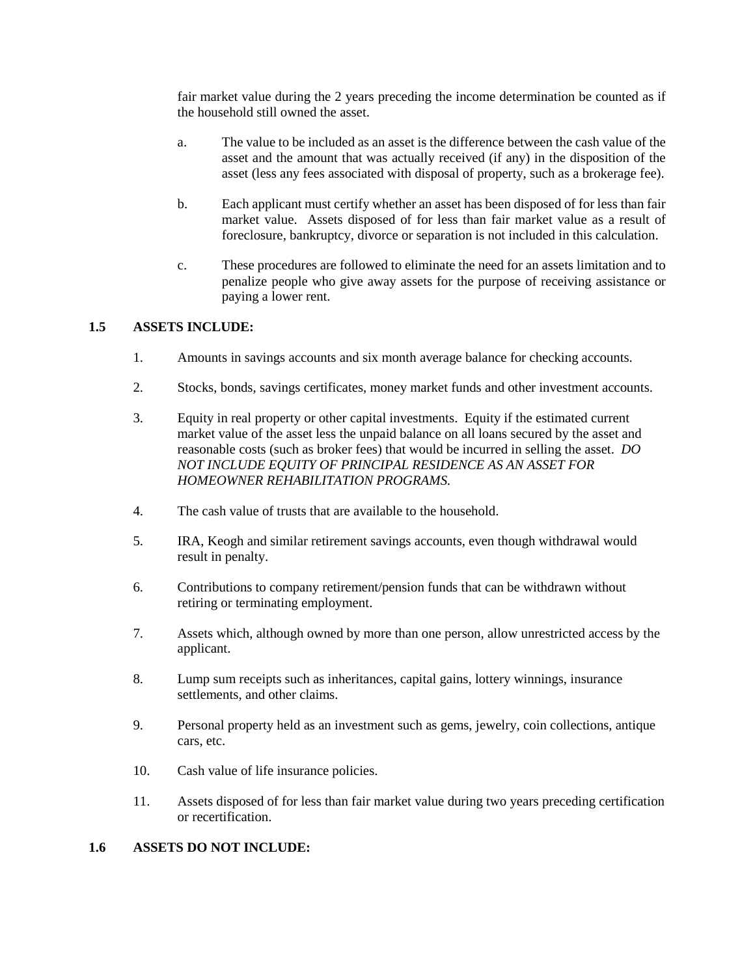fair market value during the 2 years preceding the income determination be counted as if the household still owned the asset.

- a. The value to be included as an asset is the difference between the cash value of the asset and the amount that was actually received (if any) in the disposition of the asset (less any fees associated with disposal of property, such as a brokerage fee).
- b. Each applicant must certify whether an asset has been disposed of for less than fair market value. Assets disposed of for less than fair market value as a result of foreclosure, bankruptcy, divorce or separation is not included in this calculation.
- c. These procedures are followed to eliminate the need for an assets limitation and to penalize people who give away assets for the purpose of receiving assistance or paying a lower rent.

## **1.5 ASSETS INCLUDE:**

- 1. Amounts in savings accounts and six month average balance for checking accounts.
- 2. Stocks, bonds, savings certificates, money market funds and other investment accounts.
- 3. Equity in real property or other capital investments. Equity if the estimated current market value of the asset less the unpaid balance on all loans secured by the asset and reasonable costs (such as broker fees) that would be incurred in selling the asset. *DO NOT INCLUDE EQUITY OF PRINCIPAL RESIDENCE AS AN ASSET FOR HOMEOWNER REHABILITATION PROGRAMS.*
- 4. The cash value of trusts that are available to the household.
- 5. IRA, Keogh and similar retirement savings accounts, even though withdrawal would result in penalty.
- 6. Contributions to company retirement/pension funds that can be withdrawn without retiring or terminating employment.
- 7. Assets which, although owned by more than one person, allow unrestricted access by the applicant.
- 8. Lump sum receipts such as inheritances, capital gains, lottery winnings, insurance settlements, and other claims.
- 9. Personal property held as an investment such as gems, jewelry, coin collections, antique cars, etc.
- 10. Cash value of life insurance policies.
- 11. Assets disposed of for less than fair market value during two years preceding certification or recertification.

## **1.6 ASSETS DO NOT INCLUDE:**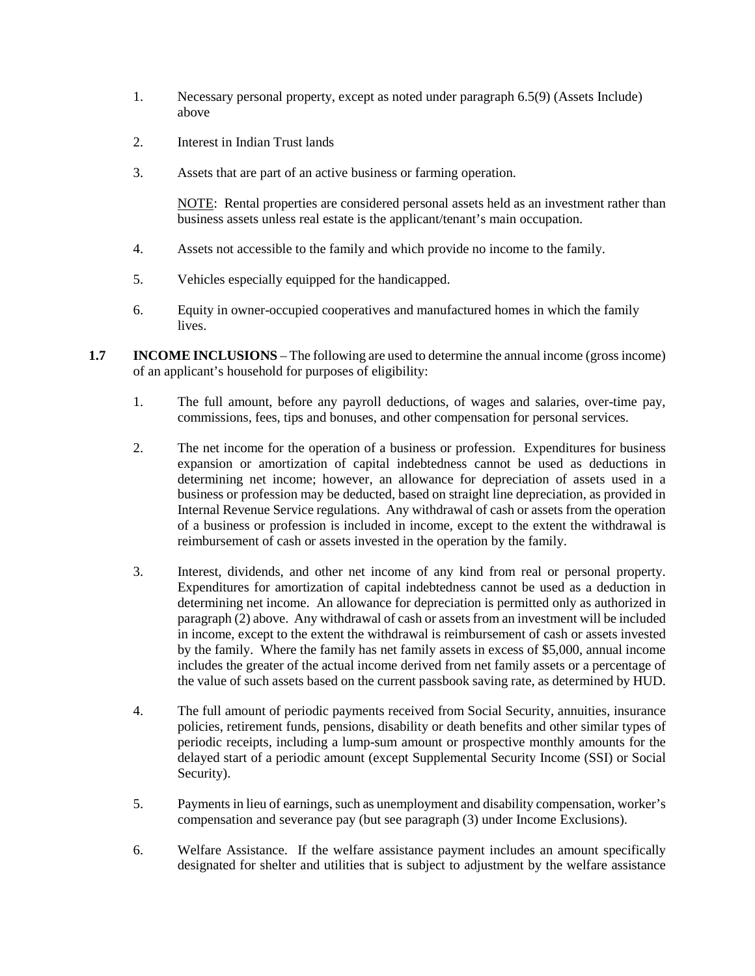- 1. Necessary personal property, except as noted under paragraph 6.5(9) (Assets Include) above
- 2. Interest in Indian Trust lands
- 3. Assets that are part of an active business or farming operation.

NOTE: Rental properties are considered personal assets held as an investment rather than business assets unless real estate is the applicant/tenant's main occupation.

- 4. Assets not accessible to the family and which provide no income to the family.
- 5. Vehicles especially equipped for the handicapped.
- 6. Equity in owner-occupied cooperatives and manufactured homes in which the family lives.
- **1.7 INCOME INCLUSIONS** The following are used to determine the annual income (gross income) of an applicant's household for purposes of eligibility:
	- 1. The full amount, before any payroll deductions, of wages and salaries, over-time pay, commissions, fees, tips and bonuses, and other compensation for personal services.
	- 2. The net income for the operation of a business or profession. Expenditures for business expansion or amortization of capital indebtedness cannot be used as deductions in determining net income; however, an allowance for depreciation of assets used in a business or profession may be deducted, based on straight line depreciation, as provided in Internal Revenue Service regulations. Any withdrawal of cash or assets from the operation of a business or profession is included in income, except to the extent the withdrawal is reimbursement of cash or assets invested in the operation by the family.
	- 3. Interest, dividends, and other net income of any kind from real or personal property. Expenditures for amortization of capital indebtedness cannot be used as a deduction in determining net income. An allowance for depreciation is permitted only as authorized in paragraph (2) above. Any withdrawal of cash or assets from an investment will be included in income, except to the extent the withdrawal is reimbursement of cash or assets invested by the family. Where the family has net family assets in excess of \$5,000, annual income includes the greater of the actual income derived from net family assets or a percentage of the value of such assets based on the current passbook saving rate, as determined by HUD.
	- 4. The full amount of periodic payments received from Social Security, annuities, insurance policies, retirement funds, pensions, disability or death benefits and other similar types of periodic receipts, including a lump-sum amount or prospective monthly amounts for the delayed start of a periodic amount (except Supplemental Security Income (SSI) or Social Security).
	- 5. Payments in lieu of earnings, such as unemployment and disability compensation, worker's compensation and severance pay (but see paragraph (3) under Income Exclusions).
	- 6. Welfare Assistance. If the welfare assistance payment includes an amount specifically designated for shelter and utilities that is subject to adjustment by the welfare assistance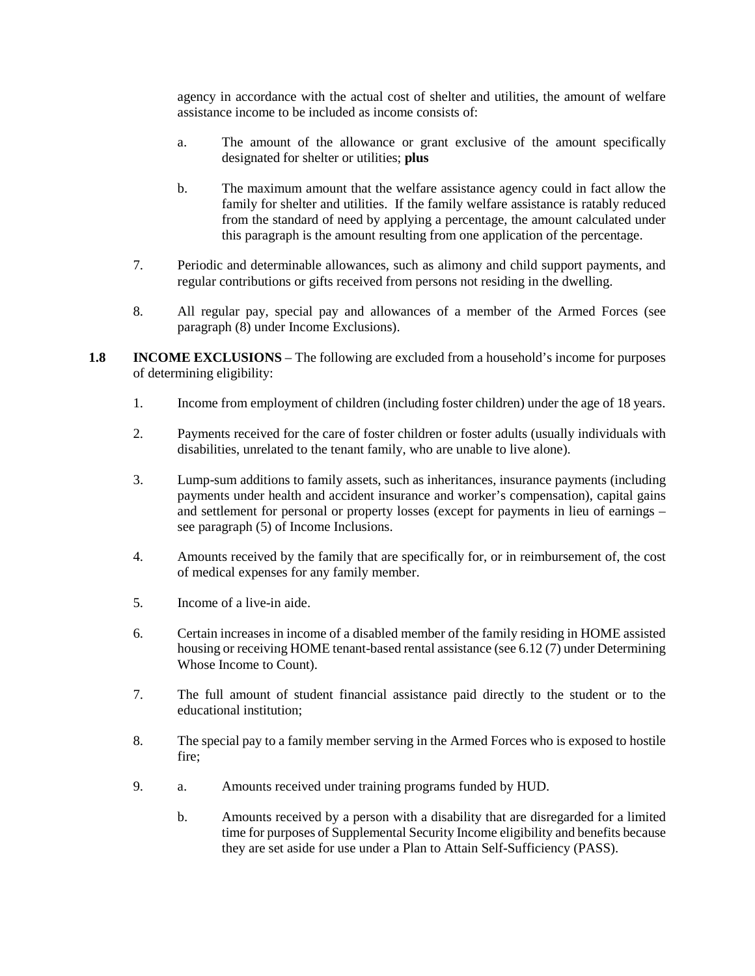agency in accordance with the actual cost of shelter and utilities, the amount of welfare assistance income to be included as income consists of:

- a. The amount of the allowance or grant exclusive of the amount specifically designated for shelter or utilities; **plus**
- b. The maximum amount that the welfare assistance agency could in fact allow the family for shelter and utilities. If the family welfare assistance is ratably reduced from the standard of need by applying a percentage, the amount calculated under this paragraph is the amount resulting from one application of the percentage.
- 7. Periodic and determinable allowances, such as alimony and child support payments, and regular contributions or gifts received from persons not residing in the dwelling.
- 8. All regular pay, special pay and allowances of a member of the Armed Forces (see paragraph (8) under Income Exclusions).
- **1.8 INCOME EXCLUSIONS** The following are excluded from a household's income for purposes of determining eligibility:
	- 1. Income from employment of children (including foster children) under the age of 18 years.
	- 2. Payments received for the care of foster children or foster adults (usually individuals with disabilities, unrelated to the tenant family, who are unable to live alone).
	- 3. Lump-sum additions to family assets, such as inheritances, insurance payments (including payments under health and accident insurance and worker's compensation), capital gains and settlement for personal or property losses (except for payments in lieu of earnings – see paragraph (5) of Income Inclusions.
	- 4. Amounts received by the family that are specifically for, or in reimbursement of, the cost of medical expenses for any family member.
	- 5. Income of a live-in aide.
	- 6. Certain increases in income of a disabled member of the family residing in HOME assisted housing or receiving HOME tenant-based rental assistance (see 6.12 (7) under Determining Whose Income to Count).
	- 7. The full amount of student financial assistance paid directly to the student or to the educational institution;
	- 8. The special pay to a family member serving in the Armed Forces who is exposed to hostile fire;
	- 9. a. Amounts received under training programs funded by HUD.
		- b. Amounts received by a person with a disability that are disregarded for a limited time for purposes of Supplemental Security Income eligibility and benefits because they are set aside for use under a Plan to Attain Self-Sufficiency (PASS).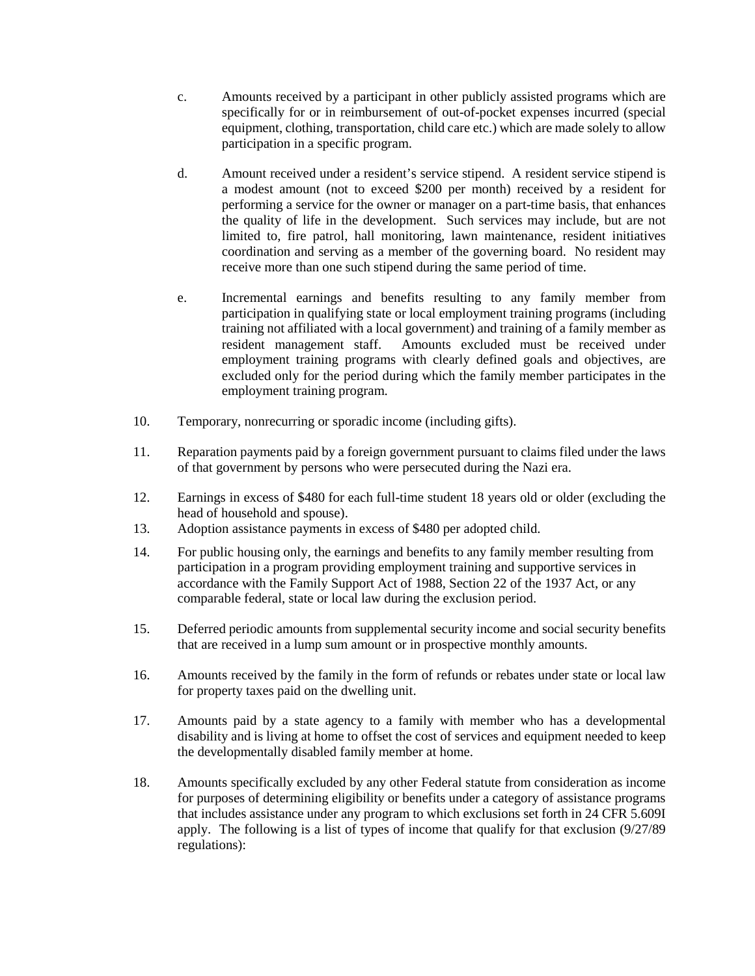- c. Amounts received by a participant in other publicly assisted programs which are specifically for or in reimbursement of out-of-pocket expenses incurred (special equipment, clothing, transportation, child care etc.) which are made solely to allow participation in a specific program.
- d. Amount received under a resident's service stipend. A resident service stipend is a modest amount (not to exceed \$200 per month) received by a resident for performing a service for the owner or manager on a part-time basis, that enhances the quality of life in the development. Such services may include, but are not limited to, fire patrol, hall monitoring, lawn maintenance, resident initiatives coordination and serving as a member of the governing board. No resident may receive more than one such stipend during the same period of time.
- e. Incremental earnings and benefits resulting to any family member from participation in qualifying state or local employment training programs (including training not affiliated with a local government) and training of a family member as resident management staff. Amounts excluded must be received under employment training programs with clearly defined goals and objectives, are excluded only for the period during which the family member participates in the employment training program.
- 10. Temporary, nonrecurring or sporadic income (including gifts).
- 11. Reparation payments paid by a foreign government pursuant to claims filed under the laws of that government by persons who were persecuted during the Nazi era.
- 12. Earnings in excess of \$480 for each full-time student 18 years old or older (excluding the head of household and spouse).
- 13. Adoption assistance payments in excess of \$480 per adopted child.
- 14. For public housing only, the earnings and benefits to any family member resulting from participation in a program providing employment training and supportive services in accordance with the Family Support Act of 1988, Section 22 of the 1937 Act, or any comparable federal, state or local law during the exclusion period.
- 15. Deferred periodic amounts from supplemental security income and social security benefits that are received in a lump sum amount or in prospective monthly amounts.
- 16. Amounts received by the family in the form of refunds or rebates under state or local law for property taxes paid on the dwelling unit.
- 17. Amounts paid by a state agency to a family with member who has a developmental disability and is living at home to offset the cost of services and equipment needed to keep the developmentally disabled family member at home.
- 18. Amounts specifically excluded by any other Federal statute from consideration as income for purposes of determining eligibility or benefits under a category of assistance programs that includes assistance under any program to which exclusions set forth in 24 CFR 5.609I apply. The following is a list of types of income that qualify for that exclusion (9/27/89 regulations):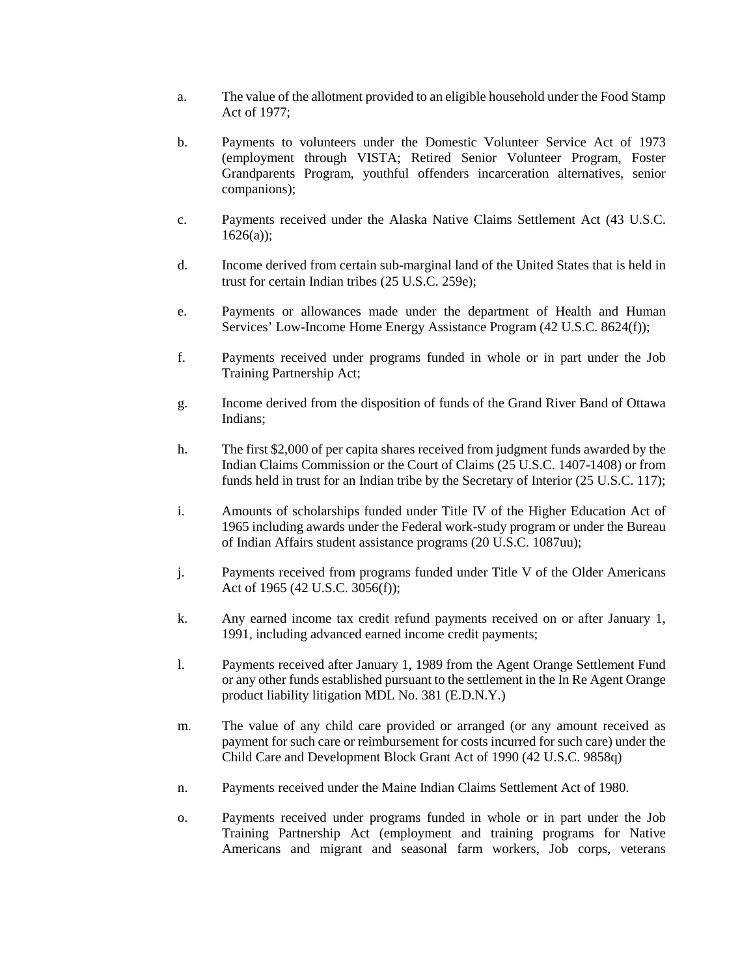- a. The value of the allotment provided to an eligible household under the Food Stamp Act of 1977;
- b. Payments to volunteers under the Domestic Volunteer Service Act of 1973 (employment through VISTA; Retired Senior Volunteer Program, Foster Grandparents Program, youthful offenders incarceration alternatives, senior companions);
- c. Payments received under the Alaska Native Claims Settlement Act (43 U.S.C.  $1626(a)$ :
- d. Income derived from certain sub-marginal land of the United States that is held in trust for certain Indian tribes (25 U.S.C. 259e);
- e. Payments or allowances made under the department of Health and Human Services' Low-Income Home Energy Assistance Program (42 U.S.C. 8624(f));
- f. Payments received under programs funded in whole or in part under the Job Training Partnership Act;
- g. Income derived from the disposition of funds of the Grand River Band of Ottawa Indians;
- h. The first \$2,000 of per capita shares received from judgment funds awarded by the Indian Claims Commission or the Court of Claims (25 U.S.C. 1407-1408) or from funds held in trust for an Indian tribe by the Secretary of Interior (25 U.S.C. 117);
- i. Amounts of scholarships funded under Title IV of the Higher Education Act of 1965 including awards under the Federal work-study program or under the Bureau of Indian Affairs student assistance programs (20 U.S.C. 1087uu);
- j. Payments received from programs funded under Title V of the Older Americans Act of 1965 (42 U.S.C. 3056(f));
- k. Any earned income tax credit refund payments received on or after January 1, 1991, including advanced earned income credit payments;
- l. Payments received after January 1, 1989 from the Agent Orange Settlement Fund or any other funds established pursuant to the settlement in the In Re Agent Orange product liability litigation MDL No. 381 (E.D.N.Y.)
- m. The value of any child care provided or arranged (or any amount received as payment for such care or reimbursement for costs incurred for such care) under the Child Care and Development Block Grant Act of 1990 (42 U.S.C. 9858q)
- n. Payments received under the Maine Indian Claims Settlement Act of 1980.
- o. Payments received under programs funded in whole or in part under the Job Training Partnership Act (employment and training programs for Native Americans and migrant and seasonal farm workers, Job corps, veterans